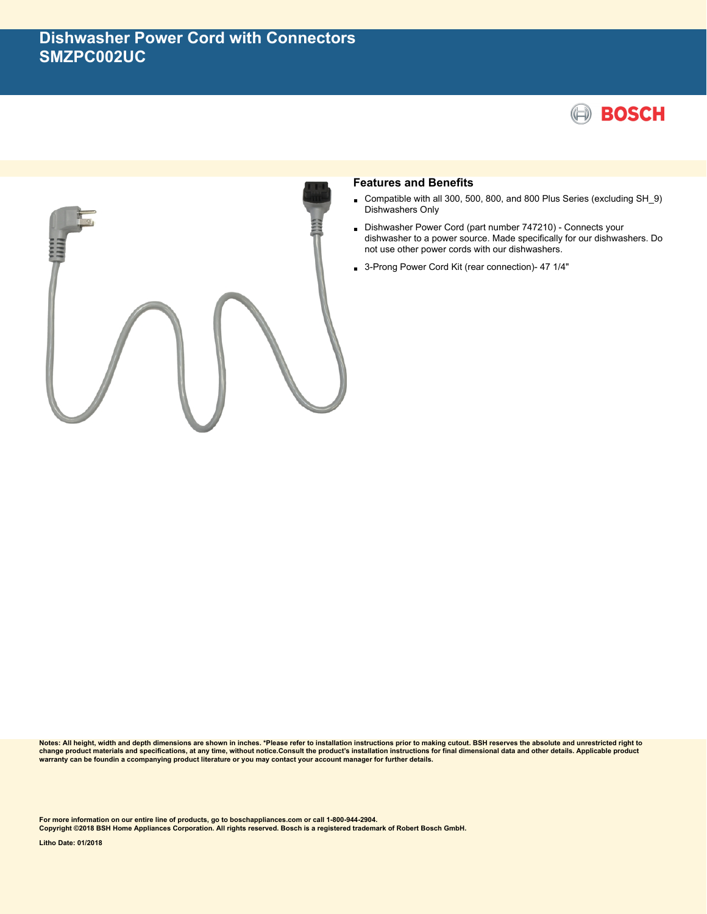



## **Features and Benefits**

- Compatible with all 300, 500, 800, and 800 Plus Series (excluding SH\_9) Dishwashers Only
- Dishwasher Power Cord (part number 747210) - Connects your dishwasher to a power source. Made specifically for our dishwashers. Do not use other power cords with our dishwashers.
- 3-Prong Power Cord Kit (rear connection)- 47 1/4"

**Notes: All height, width and depth dimensions are shown in inches. \*Please refer to installation instructions prior to making cutout. BSH reserves the absolute and unrestricted right to** change product materials and specifications, at any time, without notice.Consult the product's installation instructions for final dimensional data and other details. Applicable product<br>warranty can be foundin a ccompanyin

**For more information on our entire line of products, go to boschappliances.com or call 1-800-944-2904.**

**Copyright ©2018 BSH Home Appliances Corporation. All rights reserved. Bosch is a registered trademark of Robert Bosch GmbH.**